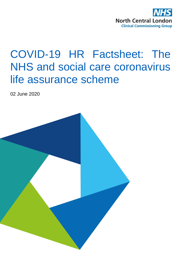

# COVID-19 HR Factsheet: The NHS and social care coronavirus life assurance scheme

02 June 2020

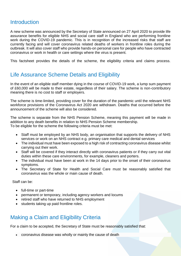#### **Introduction**

A new scheme was announced by the Secretary of State announced on 27 April 2020 to provide life assurance benefits for eligible NHS and social care staff in England who are performing frontline work during the COVID-19 pandemic. This is in recognition of the increased risks that staff are currently facing and will cover coronavirus related deaths of workers in frontline roles during the outbreak. It will also cover staff who provide hands-on personal care for people who have contracted coronavirus or work in health or care settings where the virus is present.

This factsheet provides the details of the scheme, the eligibility criteria and claims process.

### Life Assurance Scheme Details and Eligibility

In the event of an eligible staff member dying in the course of COVID-19 work, a lump sum payment of £60,000 will be made to their estate, regardless of their salary. The scheme is non-contributory meaning there is no cost to staff or employers.

The scheme is time-limited, providing cover for the duration of the pandemic until the relevant NHS workforce provisions of the Coronavirus Act 2020 are withdrawn. Deaths that occurred before the announcement of the scheme will also be considered.

The scheme is separate from the NHS Pension Scheme, meaning this payment will be made in addition to any death benefits in relation to NHS Pension Scheme membership. To be eligible for the scheme the following criteria must be met:

- Staff must be employed by an NHS body, an organisation that supports the delivery of NHS services or work on an NHS contract e.g. primary care medical and dental services
- The individual must have been exposed to a high risk of contracting coronavirus disease whilst carrying out their work.
- Staff will be covered if they interact directly with coronavirus patients or if they carry out vital duties within these care environments, for example, cleaners and porters.
- The individual must have been at work in the 14 days prior to the onset of their coronavirus symptoms.
- The Secretary of State for Health and Social Care must be reasonably satisfied that coronavirus was the whole or main cause of death.

Staff can be:

- full-time or part-time
- permanent or temporary, including agency workers and locums
- retired staff who have returned to NHS employment
- students taking up paid frontline roles.

#### Making a Claim and Eligibility Criteria

For a claim to be accepted, the Secretary of State must be reasonably satisfied that:

coronavirus disease was wholly or mainly the cause of death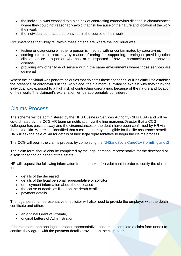- the individual was exposed to a high risk of contracting coronavirus disease in circumstances where they could not reasonably avoid that risk because of the nature and location of the work their work
- the individual contracted coronavirus in the course of their work

Circumstances that likely fall within these criteria are where the individual was:

- testing or diagnosing whether a person is infected with or contaminated by coronavirus
- coming into close proximity by reason of caring for, supporting, treating or providing other clinical service to a person who has, or is suspected of having, coronavirus or coronavirus disease
- providing any other type of service within the same environments where those services are delivered

Where the individual was performing duties that do not fit these scenarios, or if it's difficult to establish the presence of coronavirus in the workplace, the claimant is invited to explain why they think the individual was exposed to a high risk of contracting coronavirus because of the nature and location of their work. The claimant's explanation will be appropriately considered.

#### Claims Process

The scheme will be administered by the NHS Business Services Authority (NHS BSA) and will be co-ordinated by the CCG HR team on notification via the line manager/Director that a CCG colleague has passed away and the circumstances of the death have been confirmed by HR via the next of kin. Where it is identified that a colleague may be eligible for the life assurance benefit, HR will ask the next of kin for details of their legal representative to begin the claims process.

The CCG will begin the claims process by completing the [NHSandSocialCareCLASformEnglandv2](https://www.nhsbsa.nhs.uk/sites/default/files/2020-06/NHSandSocialCareCLASformEngland.v2.01.06.20.pdf)

The claim form should also be completed by the legal personal representative for the deceased or a solicitor acting on behalf of the estate.

HR will request the following information from the next of kin/claimant in order to certify the claim form:

- details of the deceased
- details of the legal personal representative or solicitor
- employment information about the deceased
- the cause of death, as listed on the death certificate
- payment details

The legal personal representative or solicitor will also need to provide the employer with the death certificate and either:

- an original Grant of Probate,
- original Letters of Administration

If there's more than one legal personal representative, each must complete a claim form annex to confirm they agree with the payment details provided on the claim form.